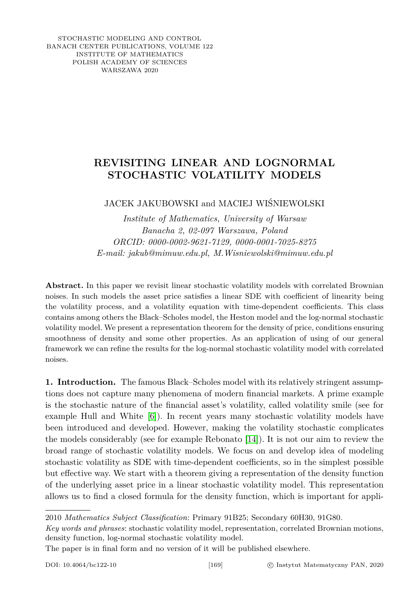STOCHASTIC MODELING AND CONTROL BANACH CENTER PUBLICATIONS, VOLUME 122 INSTITUTE OF MATHEMATICS POLISH ACADEMY OF SCIENCES WARSZAWA 2020

## **REVISITING LINEAR AND LOGNORMAL STOCHASTIC VOLATILITY MODELS**

## JACEK JAKUBOWSKI and MACIEJ WIŚNIEWOLSKI

*Institute of Mathematics, University of Warsaw Banacha 2, 02-097 Warszawa, Poland ORCID: 0000-0002-9621-7129, 0000-0001-7025-8275 E-mail: jakub@mimuw.edu.pl, M.Wisniewolski@mimuw.edu.pl*

**Abstract.** In this paper we revisit linear stochastic volatility models with correlated Brownian noises. In such models the asset price satisfies a linear SDE with coefficient of linearity being the volatility process, and a volatility equation with time-dependent coefficients. This class contains among others the Black–Scholes model, the Heston model and the log-normal stochastic volatility model. We present a representation theorem for the density of price, conditions ensuring smoothness of density and some other properties. As an application of using of our general framework we can refine the results for the log-normal stochastic volatility model with correlated noises.

**1. Introduction.** The famous Black–Scholes model with its relatively stringent assumptions does not capture many phenomena of modern financial markets. A prime example is the stochastic nature of the financial asset's volatility, called volatility smile (see for example Hull and White [\[6\]](#page-16-0)). In recent years many stochastic volatility models have been introduced and developed. However, making the volatility stochastic complicates the models considerably (see for example Rebonato [\[14\]](#page-16-1)). It is not our aim to review the broad range of stochastic volatility models. We focus on and develop idea of modeling stochastic volatility as SDE with time-dependent coefficients, so in the simplest possible but effective way. We start with a theorem giving a representation of the density function of the underlying asset price in a linear stochastic volatility model. This representation allows us to find a closed formula for the density function, which is important for appli-

2010 *Mathematics Subject Classification*: Primary 91B25; Secondary 60H30, 91G80.

*Key words and phrases*: stochastic volatility model, representation, correlated Brownian motions, density function, log-normal stochastic volatility model.

The paper is in final form and no version of it will be published elsewhere.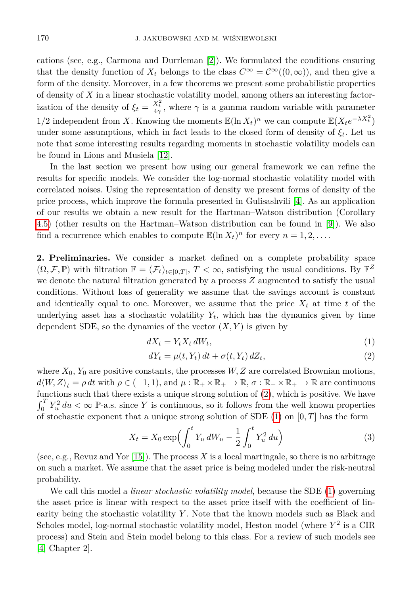cations (see, e.g., Carmona and Durrleman [\[2\]](#page-15-0)). We formulated the conditions ensuring that the density function of  $X_t$  belongs to the class  $C^{\infty} = C^{\infty}((0,\infty))$ , and then give a form of the density. Moreover, in a few theorems we present some probabilistic properties of density of *X* in a linear stochastic volatility model, among others an interesting factorization of the density of  $\xi_t = \frac{X_t^2}{4\gamma}$ , where  $\gamma$  is a gamma random variable with parameter 1/2 independent from *X*. Knowing the moments  $\mathbb{E}(\ln X_t)^n$  we can compute  $\mathbb{E}(X_t e^{-\lambda X_t^2})$ under some assumptions, which in fact leads to the closed form of density of *ξt*. Let us note that some interesting results regarding moments in stochastic volatility models can be found in Lions and Musiela [\[12\]](#page-16-2).

In the last section we present how using our general framework we can refine the results for specific models. We consider the log-normal stochastic volatility model with correlated noises. Using the representation of density we present forms of density of the price process, which improve the formula presented in Gulisashvili [\[4\]](#page-15-1). As an application of our results we obtain a new result for the Hartman–Watson distribution (Corollary [4.5\)](#page-13-0) (other results on the Hartman–Watson distribution can be found in [\[9\]](#page-16-3)). We also find a recurrence which enables to compute  $\mathbb{E}(\ln X_t)^n$  for every  $n = 1, 2, \ldots$ .

**2. Preliminaries.** We consider a market defined on a complete probability space  $(\Omega, \mathcal{F}, \mathbb{P})$  with filtration  $\mathbb{F} = (\mathcal{F}_t)_{t \in [0,T]}, T < \infty$ , satisfying the usual conditions. By  $\mathbb{F}^Z$ we denote the natural filtration generated by a process *Z* augmented to satisfy the usual conditions. Without loss of generality we assume that the savings account is constant and identically equal to one. Moreover, we assume that the price  $X_t$  at time *t* of the underlying asset has a stochastic volatility  $Y_t$ , which has the dynamics given by time dependent SDE, so the dynamics of the vector  $(X, Y)$  is given by

<span id="page-1-1"></span>
$$
dX_t = Y_t X_t dW_t,\tag{1}
$$

<span id="page-1-2"></span><span id="page-1-0"></span>
$$
dY_t = \mu(t, Y_t) dt + \sigma(t, Y_t) dZ_t,
$$
\n(2)

where  $X_0$ ,  $Y_0$  are positive constants, the processes  $W, Z$  are correlated Brownian motions,  $d\langle W, Z \rangle_t = \rho \, dt$  with  $\rho \in (-1, 1)$ , and  $\mu : \mathbb{R}_+ \times \mathbb{R}_+ \to \mathbb{R}$ ,  $\sigma : \mathbb{R}_+ \times \mathbb{R}_+ \to \mathbb{R}$  are continuous functions such that there exists a unique strong solution of [\(2\)](#page-1-0), which is positive. We have  $\int_0^T Y_u^2 du < \infty$  P-a.s. since Y is continuous, so it follows from the well known properties of stochastic exponent that a unique strong solution of SDE [\(1\)](#page-1-1) on [0*, T*] has the form

$$
X_t = X_0 \exp\left(\int_0^t Y_u \, dW_u - \frac{1}{2} \int_0^t Y_u^2 \, du\right) \tag{3}
$$

(see, e.g., Revuz and Yor [\[15\]](#page-16-4)). The process *X* is a local martingale, so there is no arbitrage on such a market. We assume that the asset price is being modeled under the risk-neutral probability.

We call this model a *linear stochastic volatility model*, because the SDE [\(1\)](#page-1-1) governing the asset price is linear with respect to the asset price itself with the coefficient of linearity being the stochastic volatility *Y* . Note that the known models such as Black and Scholes model, log-normal stochastic volatility model, Heston model (where *Y* 2 is a CIR process) and Stein and Stein model belong to this class. For a review of such models see [\[4,](#page-15-1) Chapter 2].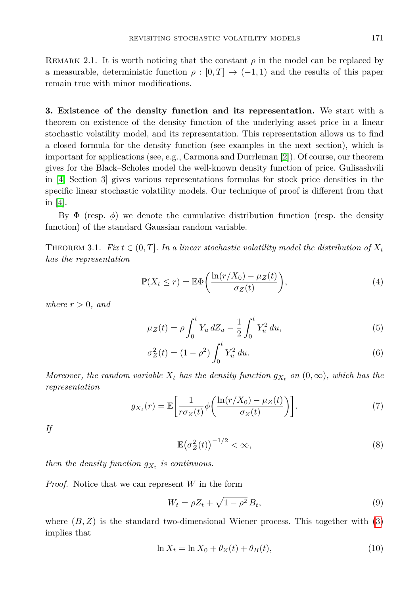REMARK 2.1. It is worth noticing that the constant  $\rho$  in the model can be replaced by a measurable, deterministic function  $\rho : [0, T] \to (-1, 1)$  and the results of this paper remain true with minor modifications.

**3. Existence of the density function and its representation.** We start with a theorem on existence of the density function of the underlying asset price in a linear stochastic volatility model, and its representation. This representation allows us to find a closed formula for the density function (see examples in the next section), which is important for applications (see, e.g., Carmona and Durrleman [\[2\]](#page-15-0)). Of course, our theorem gives for the Black–Scholes model the well-known density function of price. Gulisashvili in [\[4,](#page-15-1) Section 3] gives various representations formulas for stock price densities in the specific linear stochastic volatility models. Our technique of proof is different from that in [\[4\]](#page-15-1).

By  $\Phi$  (resp.  $\phi$ ) we denote the cumulative distribution function (resp. the density function) of the standard Gaussian random variable.

<span id="page-2-5"></span>THEOREM 3.1. *Fix*  $t \in (0, T]$ *. In a linear stochastic volatility model the distribution of*  $X_t$ *has the representation*

<span id="page-2-2"></span>
$$
\mathbb{P}(X_t \le r) = \mathbb{E}\Phi\left(\frac{\ln(r/X_0) - \mu_Z(t)}{\sigma_Z(t)}\right),\tag{4}
$$

*where*  $r > 0$ *, and* 

<span id="page-2-0"></span>
$$
\mu_Z(t) = \rho \int_0^t Y_u \, dZ_u - \frac{1}{2} \int_0^t Y_u^2 \, du,\tag{5}
$$

$$
\sigma_Z^2(t) = (1 - \rho^2) \int_0^t Y_u^2 du.
$$
\n(6)

*Moreover, the random variable*  $X_t$  *has the density function*  $g_{X_t}$  *on*  $(0, \infty)$ *, which has the representation*

<span id="page-2-3"></span>
$$
g_{X_t}(r) = \mathbb{E}\bigg[\frac{1}{r\sigma_Z(t)}\phi\bigg(\frac{\ln(r/X_0) - \mu_Z(t)}{\sigma_Z(t)}\bigg)\bigg].\tag{7}
$$

<span id="page-2-4"></span>*If*

<span id="page-2-6"></span><span id="page-2-1"></span>
$$
\mathbb{E}\big(\sigma_Z^2(t)\big)^{-1/2} < \infty,\tag{8}
$$

*then the density function*  $g_{X_t}$  *is continuous.* 

*Proof.* Notice that we can represent *W* in the form

$$
W_t = \rho Z_t + \sqrt{1 - \rho^2} B_t,\tag{9}
$$

<span id="page-2-7"></span>where  $(B, Z)$  is the standard two-dimensional Wiener process. This together with  $(3)$ implies that

$$
\ln X_t = \ln X_0 + \theta_Z(t) + \theta_B(t),\tag{10}
$$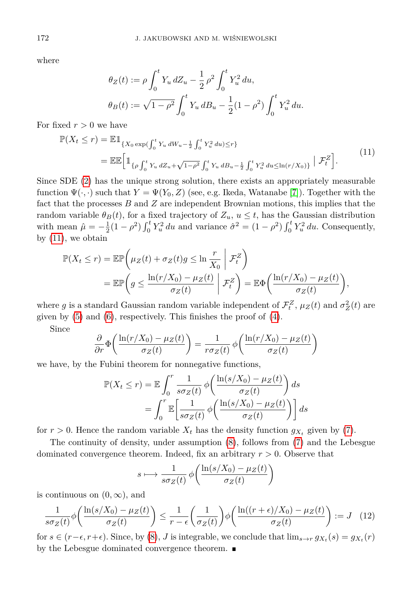where

<span id="page-3-0"></span>
$$
\theta_Z(t) := \rho \int_0^t Y_u \, dZ_u - \frac{1}{2} \rho^2 \int_0^t Y_u^2 \, du,
$$
  

$$
\theta_B(t) := \sqrt{1 - \rho^2} \int_0^t Y_u \, dB_u - \frac{1}{2} (1 - \rho^2) \int_0^t Y_u^2 \, du.
$$

For fixed  $r > 0$  we have

$$
\mathbb{P}(X_t \le r) = \mathbb{E} \mathbb{1}_{\{X_0 \exp(\int_0^t Y_u dW_u - \frac{1}{2} \int_0^t Y_u^2 du) \le r\}}\n= \mathbb{E} \mathbb{E} \Big[ \mathbb{1}_{\{\rho \int_0^t Y_u dZ_u + \sqrt{1 - \rho^2} \int_0^t Y_u dB_u - \frac{1}{2} \int_0^t Y_u^2 du \le \ln(r/X_0)\}} \Big| \mathcal{F}_t^Z \Big].
$$
\n(11)

Since SDE [\(2\)](#page-1-0) has the unique strong solution, there exists an appropriately measurable function  $\Psi(\cdot, \cdot)$  such that  $Y = \Psi(Y_0, Z)$  (see, e.g. Ikeda, Watanabe [\[7\]](#page-16-5)). Together with the fact that the processes *B* and *Z* are independent Brownian motions, this implies that the random variable  $\theta_B(t)$ , for a fixed trajectory of  $Z_u$ ,  $u \leq t$ , has the Gaussian distribution with mean  $\hat{\mu} = -\frac{1}{2}(1-\rho^2)\int_0^t Y_u^2 du$  and variance  $\hat{\sigma}^2 = (1-\rho^2)\int_0^t Y_u^2 du$ . Consequently, by  $(11)$ , we obtain

$$
\mathbb{P}(X_t \le r) = \mathbb{E}\mathbb{P}\left(\mu_Z(t) + \sigma_Z(t)g \le \ln\frac{r}{X_0} \middle| \mathcal{F}_t^Z\right)
$$
  
= 
$$
\mathbb{E}\mathbb{P}\left(g \le \frac{\ln(r/X_0) - \mu_Z(t)}{\sigma_Z(t)} \middle| \mathcal{F}_t^Z\right) = \mathbb{E}\Phi\left(\frac{\ln(r/X_0) - \mu_Z(t)}{\sigma_Z(t)}\right),
$$

where *g* is a standard Gaussian random variable independent of  $\mathcal{F}_t^Z$ ,  $\mu_Z(t)$  and  $\sigma_Z^2(t)$  are given by [\(5\)](#page-2-0) and [\(6\)](#page-2-1), respectively. This finishes the proof of [\(4\)](#page-2-2).

Since

$$
\frac{\partial}{\partial r}\Phi\left(\frac{\ln(r/X_0) - \mu_Z(t)}{\sigma_Z(t)}\right) = \frac{1}{r\sigma_Z(t)}\phi\left(\frac{\ln(r/X_0) - \mu_Z(t)}{\sigma_Z(t)}\right)
$$

we have, by the Fubini theorem for nonnegative functions,

$$
\mathbb{P}(X_t \le r) = \mathbb{E} \int_0^r \frac{1}{s\sigma_Z(t)} \phi\left(\frac{\ln(s/X_0) - \mu_Z(t)}{\sigma_Z(t)}\right) ds
$$

$$
= \int_0^r \mathbb{E} \left[\frac{1}{s\sigma_Z(t)} \phi\left(\frac{\ln(s/X_0) - \mu_Z(t)}{\sigma_Z(t)}\right)\right] ds
$$

for  $r > 0$ . Hence the random variable  $X_t$  has the density function  $g_{X_t}$  given by [\(7\)](#page-2-3).

The continuity of density, under assumption [\(8\)](#page-2-4), follows from [\(7\)](#page-2-3) and the Lebesgue dominated convergence theorem. Indeed, fix an arbitrary *r >* 0. Observe that

$$
s \longmapsto \frac{1}{s\sigma_Z(t)} \phi\bigg(\frac{\ln(s/X_0) - \mu_Z(t)}{\sigma_Z(t)}\bigg)
$$

is continuous on  $(0, \infty)$ , and

$$
\frac{1}{s\sigma_Z(t)}\phi\bigg(\frac{\ln(s/X_0) - \mu_Z(t)}{\sigma_Z(t)}\bigg) \le \frac{1}{r - \epsilon} \bigg(\frac{1}{\sigma_Z(t)}\bigg)\phi\bigg(\frac{\ln((r + \epsilon)/X_0) - \mu_Z(t)}{\sigma_Z(t)}\bigg) := J \quad (12)
$$

for  $s \in (r - \epsilon, r + \epsilon)$ . Since, by [\(8\)](#page-2-4), *J* is integrable, we conclude that  $\lim_{s \to r} g_{X_t}(s) = g_{X_t}(r)$ by the Lebesgue dominated convergence theorem.  $\blacksquare$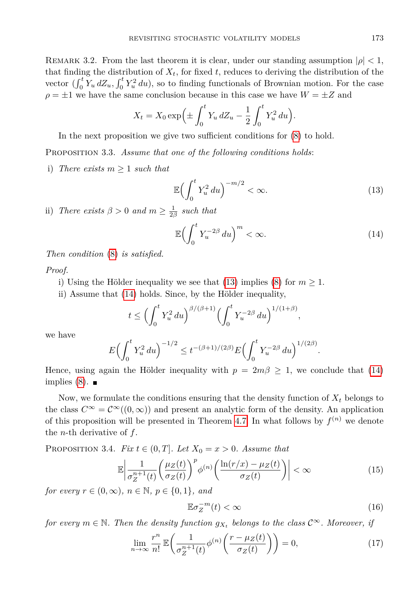REMARK 3.2. From the last theorem it is clear, under our standing assumption  $|\rho| < 1$ , that finding the distribution of  $X_t$ , for fixed  $t$ , reduces to deriving the distribution of the vector  $\left(\int_0^t Y_u dZ_u, \int_0^t Y_u^2 du\right)$ , so to finding functionals of Brownian motion. For the case  $\rho = \pm 1$  we have the same conclusion because in this case we have  $W = \pm Z$  and

$$
X_t = X_0 \exp\left(\pm \int_0^t Y_u \, dZ_u - \frac{1}{2} \int_0^t Y_u^2 \, du\right).
$$

In the next proposition we give two sufficient conditions for [\(8\)](#page-2-4) to hold.

Proposition 3.3. *Assume that one of the following conditions holds*:

i) *There exists*  $m \geq 1$  *such that* 

<span id="page-4-0"></span>
$$
\mathbb{E}\left(\int_0^t Y_u^2 du\right)^{-m/2} < \infty. \tag{13}
$$

ii) *There exists*  $\beta > 0$  *and*  $m \ge \frac{1}{2\beta}$  *such that* 

<span id="page-4-1"></span>
$$
\mathbb{E}\left(\int_0^t Y_u^{-2\beta} \, du\right)^m < \infty. \tag{14}
$$

*Then condition* [\(8\)](#page-2-4) *is satisfied.*

*Proof.*

- i) Using the Hölder inequality we see that [\(13\)](#page-4-0) implies [\(8\)](#page-2-4) for  $m \geq 1$ .
- ii) Assume that [\(14\)](#page-4-1) holds. Since, by the Hölder inequality,

$$
t \le \left(\int_0^t Y_u^2 du\right)^{\beta/(\beta+1)} \left(\int_0^t Y_u^{-2\beta} du\right)^{1/(1+\beta)},
$$

we have

$$
E\left(\int_0^t Y_u^2 du\right)^{-1/2} \le t^{-(\beta+1)/(2\beta)} E\left(\int_0^t Y_u^{-2\beta} du\right)^{1/(2\beta)}.
$$

Hence, using again the Hölder inequality with  $p = 2m\beta \geq 1$ , we conclude that [\(14\)](#page-4-1) implies  $(8)$ .

Now, we formulate the conditions ensuring that the density function of  $X_t$  belongs to the class  $C^{\infty} = C^{\infty}((0,\infty))$  and present an analytic form of the density. An application of this proposition will be presented in Theorem [4.7.](#page-13-1) In what follows by  $f^{(n)}$  we denote the *n*-th derivative of *f*.

<span id="page-4-5"></span>PROPOSITION 3.4. *Fix*  $t \in (0, T]$ *. Let*  $X_0 = x > 0$ *. Assume that* 

$$
\mathbb{E}\left|\frac{1}{\sigma_Z^{n+1}(t)}\left(\frac{\mu_Z(t)}{\sigma_Z(t)}\right)^p \phi^{(n)}\left(\frac{\ln(r/x) - \mu_Z(t)}{\sigma_Z(t)}\right)\right| < \infty \tag{15}
$$

*for every*  $r \in (0, \infty)$ *,*  $n \in \mathbb{N}$ *,*  $p \in \{0, 1\}$ *, and* 

<span id="page-4-4"></span><span id="page-4-3"></span><span id="page-4-2"></span>
$$
\mathbb{E}\sigma_Z^{-m}(t) < \infty \tag{16}
$$

*for every*  $m \in \mathbb{N}$ . Then the density function  $g_{X_t}$  belongs to the class  $\mathcal{C}^{\infty}$ . Moreover, if

$$
\lim_{n \to \infty} \frac{r^n}{n!} \mathbb{E}\left(\frac{1}{\sigma_Z^{n+1}(t)} \phi^{(n)}\left(\frac{r - \mu_Z(t)}{\sigma_Z(t)}\right)\right) = 0,\tag{17}
$$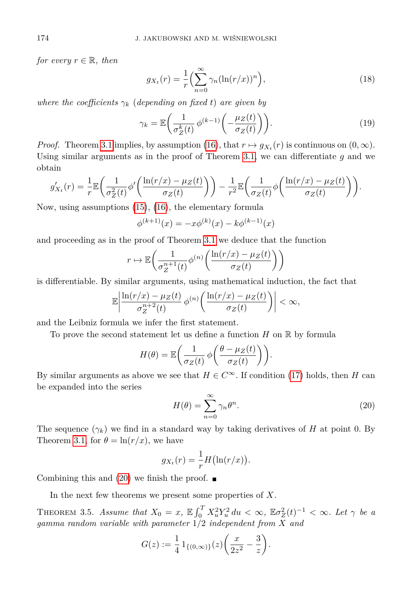*for every*  $r \in \mathbb{R}$ *, then* 

<span id="page-5-3"></span><span id="page-5-2"></span>
$$
g_{X_t}(r) = \frac{1}{r} \left( \sum_{n=0}^{\infty} \gamma_n (\ln(r/x))^n \right), \tag{18}
$$

*where the coefficients*  $\gamma_k$  (*depending on fixed t*) are given by

$$
\gamma_k = \mathbb{E}\bigg(\frac{1}{\sigma_Z^k(t)}\,\phi^{(k-1)}\bigg(-\frac{\mu_Z(t)}{\sigma_Z(t)}\bigg)\bigg). \tag{19}
$$

*Proof.* Theorem [3.1](#page-2-5) implies, by assumption [\(16\)](#page-4-2), that  $r \mapsto g_{X_t}(r)$  is continuous on  $(0, \infty)$ . Using similar arguments as in the proof of Theorem [3.1,](#page-2-5) we can differentiate *g* and we obtain

$$
g'_{X_t}(r) = \frac{1}{r} \mathbb{E}\left(\frac{1}{\sigma_Z^2(t)}\phi'\left(\frac{\ln(r/x) - \mu_Z(t)}{\sigma_Z(t)}\right)\right) - \frac{1}{r^2} \mathbb{E}\left(\frac{1}{\sigma_Z(t)}\phi\left(\frac{\ln(r/x) - \mu_Z(t)}{\sigma_Z(t)}\right)\right).
$$

Now, using assumptions [\(15\)](#page-4-3), [\(16\)](#page-4-2), the elementary formula

$$
\phi^{(k+1)}(x) = -x\phi^{(k)}(x) - k\phi^{(k-1)}(x)
$$

and proceeding as in the proof of Theorem [3.1](#page-2-5) we deduce that the function

$$
r \mapsto \mathbb{E}\bigg(\frac{1}{\sigma_Z^{n+1}(t)}\phi^{(n)}\bigg(\frac{\ln(r/x) - \mu_Z(t)}{\sigma_Z(t)}\bigg)\bigg)
$$

is differentiable. By similar arguments, using mathematical induction, the fact that

$$
\mathbb{E}\left|\frac{\ln(r/x)-\mu_Z(t)}{\sigma_Z^{n+2}(t)}\,\phi^{(n)}\left(\frac{\ln(r/x)-\mu_Z(t)}{\sigma_Z(t)}\right)\right|<\infty,
$$

and the Leibniz formula we infer the first statement.

To prove the second statement let us define a function  $H$  on  $\mathbb R$  by formula

<span id="page-5-0"></span>
$$
H(\theta) = \mathbb{E}\bigg(\frac{1}{\sigma_Z(t)}\,\phi\bigg(\frac{\theta - \mu_Z(t)}{\sigma_Z(t)}\bigg)\bigg).
$$

By similar arguments as above we see that  $H \in C^{\infty}$ . If condition [\(17\)](#page-4-4) holds, then *H* can be expanded into the series

$$
H(\theta) = \sum_{n=0}^{\infty} \gamma_n \theta^n.
$$
 (20)

The sequence  $(\gamma_k)$  we find in a standard way by taking derivatives of *H* at point 0. By Theorem [3.1,](#page-2-5) for  $\theta = \ln(r/x)$ , we have

$$
g_{X_t}(r) = -\frac{1}{r}H(\ln(r/x)).
$$

Combining this and  $(20)$  we finish the proof.  $\blacksquare$ 

In the next few theorems we present some properties of *X*.

<span id="page-5-1"></span>THEOREM 3.5. *Assume that*  $X_0 = x$ ,  $\mathbb{E} \int_0^T X_u^2 Y_u^2 du < \infty$ ,  $\mathbb{E} \sigma_Z^2(t)^{-1} < \infty$ . Let  $\gamma$  be a *gamma random variable with parameter* 1*/*2 *independent from X and*

$$
G(z) := \frac{1}{4} 1_{\{(0,\infty)\}}(z) \left(\frac{x}{2z^2} - \frac{3}{z}\right).
$$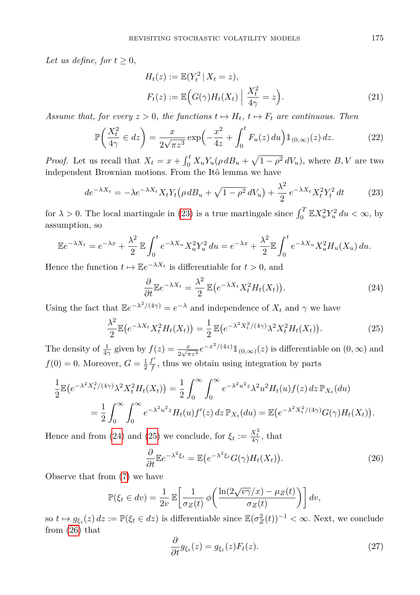*Let us define, for*  $t \geq 0$ *,* 

<span id="page-6-5"></span>
$$
H_t(z) := \mathbb{E}(Y_t^2 | X_t = z),
$$
  
\n
$$
F_t(z) := \mathbb{E}\Big(G(\gamma)H_t(X_t) \Big| \frac{X_t^2}{4\gamma} = z\Big).
$$
\n(21)

*Assume that, for every*  $z > 0$ *, the functions*  $t \mapsto H_t$ *,*  $t \mapsto F_t$  *are continuous. Then* 

$$
\mathbb{P}\left(\frac{X_t^2}{4\gamma} \in dz\right) = \frac{x}{2\sqrt{\pi z^3}} \exp\left(-\frac{x^2}{4z} + \int_0^t F_u(z) \, du\right) \mathbb{1}_{(0,\infty)}(z) \, dz. \tag{22}
$$

*Proof.* Let us recall that  $X_t = x + \int_0^t X_u Y_u (\rho \, dB_u + \sqrt{1 - \rho^2} \, dV_u)$ , where *B*, *V* are two independent Brownian motions. From the Itô lemma we have

$$
de^{-\lambda X_t} = -\lambda e^{-\lambda X_t} X_t Y_t \left( \rho \, dB_u + \sqrt{1 - \rho^2} \, dV_u \right) + \frac{\lambda^2}{2} \, e^{-\lambda X_t} X_t^2 Y_t^2 \, dt \tag{23}
$$

for  $\lambda > 0$ . The local martingale in [\(23\)](#page-6-0) is a true martingale since  $\int_0^T \mathbb{E} X_u^2 Y_u^2 du < \infty$ , by assumption, so

$$
\mathbb{E}e^{-\lambda X_t} = e^{-\lambda x} + \frac{\lambda^2}{2} \mathbb{E} \int_0^t e^{-\lambda X_u} X_u^2 Y_u^2 du = e^{-\lambda x} + \frac{\lambda^2}{2} \mathbb{E} \int_0^t e^{-\lambda X_u} X_u^2 H_u(X_u) du.
$$

Hence the function  $t \mapsto \mathbb{E}e^{-\lambda X_t}$  is differentiable for  $t > 0$ , and

<span id="page-6-2"></span><span id="page-6-1"></span><span id="page-6-0"></span>
$$
\frac{\partial}{\partial t} \mathbb{E} e^{-\lambda X_t} = \frac{\lambda^2}{2} \mathbb{E} \big( e^{-\lambda X_t} X_t^2 H_t(X_t) \big). \tag{24}
$$

Using the fact that  $\mathbb{E}e^{-\lambda^2/(4\gamma)} = e^{-\lambda}$  and independence of  $X_t$  and  $\gamma$  we have

$$
\frac{\lambda^2}{2} \mathbb{E} \big( e^{-\lambda X_t} X_t^2 H_t(X_t) \big) = \frac{1}{2} \mathbb{E} \big( e^{-\lambda^2 X_t^2/(4\gamma)} \lambda^2 X_t^2 H_t(X_t) \big). \tag{25}
$$

The density of  $\frac{1}{4\gamma}$  given by  $f(z) = \frac{x}{2\sqrt{\pi z^3}} e^{-x^2/(4z)} 1\!\!1_{(0,\infty)}(z)$  is differentiable on  $(0,\infty)$  and  $f(0) = 0$ . Moreover,  $G = \frac{1}{2} \frac{f'}{f}$  $\frac{f}{f}$ , thus we obtain using integration by parts

$$
\frac{1}{2} \mathbb{E} (e^{-\lambda^2 X_t^2/(4\gamma)} \lambda^2 X_t^2 H_t(X_t)) = \frac{1}{2} \int_0^\infty \int_0^\infty e^{-\lambda^2 u^2 z} \lambda^2 u^2 H_t(u) f(z) \, dz \, \mathbb{P}_{X_t}(du)
$$
\n
$$
= \frac{1}{2} \int_0^\infty \int_0^\infty e^{-\lambda^2 u^2 z} H_t(u) f'(z) \, dz \, \mathbb{P}_{X_t}(du) = \mathbb{E} (e^{-\lambda^2 X_t^2/(4\gamma)} G(\gamma) H_t(X_t)).
$$

Hence and from [\(24\)](#page-6-1) and [\(25\)](#page-6-2) we conclude, for  $\xi_t := \frac{X_t^2}{4\gamma}$ , that

<span id="page-6-3"></span>
$$
\frac{\partial}{\partial t} \mathbb{E} e^{-\lambda^2 \xi_t} = \mathbb{E} \big( e^{-\lambda^2 \xi_t} G(\gamma) H_t(X_t) \big). \tag{26}
$$

Observe that from [\(7\)](#page-2-3) we have

<span id="page-6-4"></span>
$$
\mathbb{P}(\xi_t \in dv) = \frac{1}{2v} \mathbb{E}\left[\frac{1}{\sigma_Z(t)} \phi\left(\frac{\ln(2\sqrt{v\gamma}/x) - \mu_Z(t)}{\sigma_Z(t)}\right)\right] dv,
$$

so  $t \mapsto g_{\xi_t}(z) dz := \mathbb{P}(\xi_t \in dz)$  is differentiable since  $\mathbb{E}(\sigma_Z^2(t))^{-1} < \infty$ . Next, we conclude from [\(26\)](#page-6-3) that

$$
\frac{\partial}{\partial t}g_{\xi_t}(z) = g_{\xi_t}(z)F_t(z). \tag{27}
$$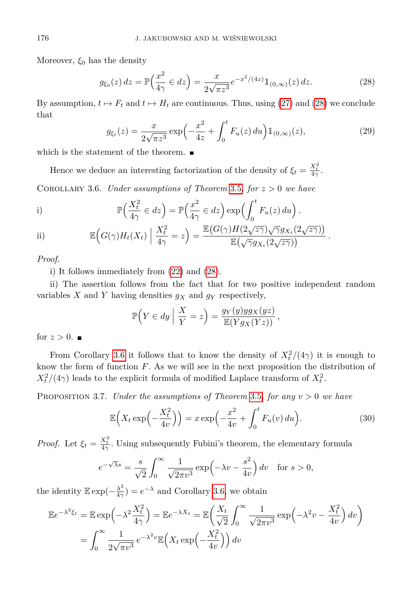Moreover,  $\xi_0$  has the density

<span id="page-7-0"></span>
$$
g_{\xi_0}(z) dz = \mathbb{P}\left(\frac{x^2}{4\gamma} \in dz\right) = \frac{x}{2\sqrt{\pi z^3}} e^{-x^2/(4z)} \mathbb{1}_{(0,\infty)}(z) dz.
$$
 (28)

By assumption,  $t \mapsto F_t$  and  $t \mapsto H_t$  are continuous. Thus, using [\(27\)](#page-6-4) and [\(28\)](#page-7-0) we conclude that

$$
g_{\xi_t}(z) = \frac{x}{2\sqrt{\pi z^3}} \exp\left(-\frac{x^2}{4z} + \int_0^t F_u(z) \, du\right) \mathbb{1}_{(0,\infty)}(z),\tag{29}
$$

which is the statement of the theorem.  $\blacksquare$ 

Hence we deduce an interesting factorization of the density of  $\xi_t = \frac{X_t^2}{4\gamma}$ .

<span id="page-7-1"></span>COROLLARY 3.6. *Under assumptions of Theorem* [3.5](#page-5-1)*, for*  $z > 0$  *we have* 

i) 
$$
\mathbb{P}\left(\frac{X_t^2}{4\gamma} \in dz\right) = \mathbb{P}\left(\frac{x^2}{4\gamma} \in dz\right) \exp\left(\int_0^t F_u(z) \, du\right).
$$

ii) 
$$
\mathbb{E}\Big(G(\gamma)H_t(X_t)\Big|\frac{X_t^2}{4\gamma}=z\Big)=\frac{\mathbb{E}\big(G(\gamma)H(2\sqrt{z\gamma})\sqrt{\gamma}gx_t(2\sqrt{z\gamma})\big)}{\mathbb{E}\big(\sqrt{\gamma}gx_t(2\sqrt{z\gamma})\big)}.
$$

*Proof.*

i) It follows immediately from [\(22\)](#page-6-5) and [\(28\)](#page-7-0).

ii) The assertion follows from the fact that for two positive independent random variables  $X$  and  $Y$  having densities  $g_X$  and  $g_Y$  respectively,

$$
\mathbb{P}\Big(Y \in dy \Big| \frac{X}{Y} = z\Big) = \frac{g_Y(y)yg_X(yz)}{\mathbb{E}(Yg_X(Yz))},
$$

for  $z > 0$ .

From Corollary [3.6](#page-7-1) it follows that to know the density of  $X_t^2/(4\gamma)$  it is enough to know the form of function *F*. As we will see in the next proposition the distribution of  $X_t^2/(4\gamma)$  leads to the explicit formula of modified Laplace transform of  $X_t^2$ .

Proposition 3.7. *Under the assumptions of Theorem* [3.5](#page-5-1)*, for any v >* 0 *we have*

$$
\mathbb{E}\left(X_t \exp\left(-\frac{X_t^2}{4v}\right)\right) = x \exp\left(-\frac{x^2}{4v} + \int_0^t F_u(v) \, du\right). \tag{30}
$$

*Proof.* Let  $\xi_t = \frac{X_t^2}{4\gamma}$ . Using subsequently Fubini's theorem, the elementary formula

$$
e^{-\sqrt{\lambda}s} = \frac{s}{\sqrt{2}} \int_0^\infty \frac{1}{\sqrt{2\pi v^3}} \exp\left(-\lambda v - \frac{s^2}{4v}\right) dv \quad \text{for } s > 0,
$$

the identity  $\mathbb{E} \exp(-\frac{\lambda^2}{4\alpha})$  $\frac{\lambda^2}{4\gamma}$  =  $e^{-\lambda}$  and Corollary [3.6,](#page-7-1) we obtain

$$
\mathbb{E}e^{-\lambda^2 \xi_t} = \mathbb{E} \exp\left(-\lambda^2 \frac{X_t^2}{4\gamma}\right) = \mathbb{E}e^{-\lambda X_t} = \mathbb{E}\left(\frac{X_t}{\sqrt{2}} \int_0^\infty \frac{1}{\sqrt{2\pi v^3}} \exp\left(-\lambda^2 v - \frac{X_t^2}{4v}\right) dv\right)
$$

$$
= \int_0^\infty \frac{1}{2\sqrt{\pi v^3}} e^{-\lambda^2 v} \mathbb{E}\left(X_t \exp\left(-\frac{X_t^2}{4v}\right)\right) dv
$$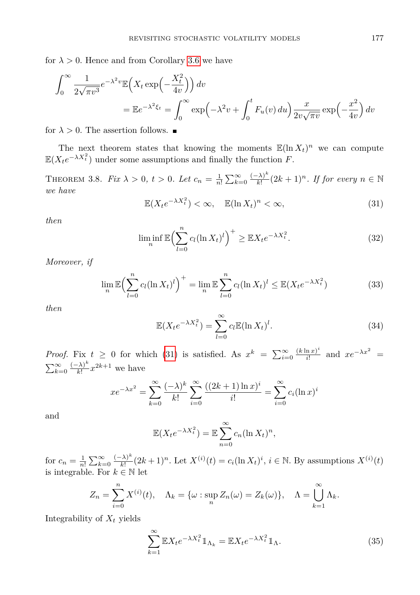for  $\lambda > 0$ . Hence and from Corollary [3.6](#page-7-1) we have

$$
\int_0^\infty \frac{1}{2\sqrt{\pi v^3}} e^{-\lambda^2 v} \mathbb{E}\left(X_t \exp\left(-\frac{X_t^2}{4v}\right)\right) dv
$$
  
=  $\mathbb{E}e^{-\lambda^2 \xi_t} = \int_0^\infty \exp\left(-\lambda^2 v + \int_0^t F_u(v) \, du\right) \frac{x}{2v\sqrt{\pi v}} \exp\left(-\frac{x^2}{4v}\right) dv$ 

for  $\lambda > 0$ . The assertion follows.  $\blacksquare$ 

The next theorem states that knowing the moments  $\mathbb{E}(\ln X_t)^n$  we can compute  $\mathbb{E}(X_t e^{-\lambda X_t^2})$  under some assumptions and finally the function *F*.

<span id="page-8-0"></span>THEOREM 3.8. *Fix*  $\lambda > 0$ ,  $t > 0$ . Let  $c_n = \frac{1}{n!} \sum_{k=0}^{\infty} \frac{(-\lambda)^k}{k!}$  $\frac{f(\lambda)^k}{k!} (2k+1)^n$ . If for every  $n \in \mathbb{N}$ *we have*

$$
\mathbb{E}(X_t e^{-\lambda X_t^2}) < \infty, \quad \mathbb{E}(\ln X_t)^n < \infty,\tag{31}
$$

<span id="page-8-3"></span>*then*

$$
\liminf_{n} \mathbb{E}\Big(\sum_{l=0}^{n} c_l (\ln X_t)^l\Big)^{+} \geq \mathbb{E}X_t e^{-\lambda X_t^2}.
$$
\n(32)

*Moreover, if*

<span id="page-8-2"></span>
$$
\lim_{n} \mathbb{E}\Big(\sum_{l=0}^{n} c_l (\ln X_t)^l\Big)^+ = \lim_{n} \mathbb{E}\sum_{l=0}^{n} c_l (\ln X_t)^l \leq \mathbb{E}(X_t e^{-\lambda X_t^2})
$$
(33)

*then*

$$
\mathbb{E}(X_t e^{-\lambda X_t^2}) = \sum_{l=0}^{\infty} c_l \mathbb{E}(\ln X_t)^l.
$$
 (34)

*Proof.* Fix  $t \geq 0$  for which [\(31\)](#page-8-0) is satisfied. As  $x^k = \sum_{i=0}^{\infty} \frac{(k \ln x)^i}{i!}$  $\frac{\ln x)^i}{i!}$  and  $xe^{-\lambda x^2}$  =  $\sum_{k=0}^{\infty} \frac{(-\lambda)^k}{k!}$  $\frac{(k-1)^k}{k!}x^{2k+1}$  we have

$$
xe^{-\lambda x^2} = \sum_{k=0}^{\infty} \frac{(-\lambda)^k}{k!} \sum_{i=0}^{\infty} \frac{((2k+1)\ln x)^i}{i!} = \sum_{i=0}^{\infty} c_i (\ln x)^i
$$

and

$$
\mathbb{E}(X_t e^{-\lambda X_t^2}) = \mathbb{E}\sum_{n=0}^{\infty} c_n (\ln X_t)^n,
$$

for  $c_n = \frac{1}{n!} \sum_{k=0}^{\infty} \frac{(-\lambda)^k}{k!}$  $\frac{(\lambda)^k}{k!} (2k+1)^n$ . Let  $X^{(i)}(t) = c_i (\ln X_t)^i$ ,  $i \in \mathbb{N}$ . By assumptions  $X^{(i)}(t)$ is integrable. For  $k \in \mathbb{N}$  let

$$
Z_n = \sum_{i=0}^n X^{(i)}(t), \quad \Lambda_k = \{ \omega : \sup_n Z_n(\omega) = Z_k(\omega) \}, \quad \Lambda = \bigcup_{k=1}^\infty \Lambda_k.
$$

Integrability of *X<sup>t</sup>* yields

<span id="page-8-1"></span>
$$
\sum_{k=1}^{\infty} \mathbb{E}X_t e^{-\lambda X_t^2} \mathbb{1}_{\Lambda_k} = \mathbb{E}X_t e^{-\lambda X_t^2} \mathbb{1}_{\Lambda}.
$$
\n(35)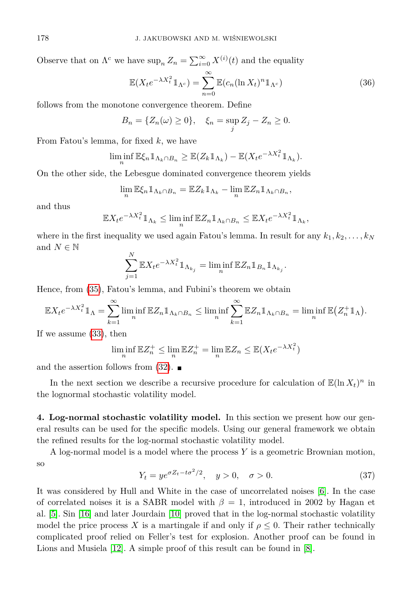Observe that on  $\Lambda^c$  we have  $\sup_n Z_n = \sum_{i=0}^{\infty} X^{(i)}(t)$  and the equality

$$
\mathbb{E}(X_t e^{-\lambda X_t^2} \mathbb{1}_{\Lambda^c}) = \sum_{n=0}^{\infty} \mathbb{E}(c_n (\ln X_t)^n \mathbb{1}_{\Lambda^c})
$$
\n(36)

follows from the monotone convergence theorem. Define

$$
B_n = \{Z_n(\omega) \ge 0\}, \quad \xi_n = \sup_j Z_j - Z_n \ge 0.
$$

From Fatou's lemma, for fixed *k*, we have

$$
\liminf_{n} \mathbb{E}\xi_n \mathbb{1}_{\Lambda_k \cap B_n} \geq \mathbb{E}(Z_k \mathbb{1}_{\Lambda_k}) - \mathbb{E}(X_t e^{-\lambda X_t^2} \mathbb{1}_{\Lambda_k}).
$$

On the other side, the Lebesgue dominated convergence theorem yields

$$
\lim_{n} \mathbb{E}\xi_n 1\!\!1_{\Lambda_k \cap B_n} = \mathbb{E}Z_k 1\!\!1_{\Lambda_k} - \lim_{n} \mathbb{E}Z_n 1\!\!1_{\Lambda_k \cap B_n},
$$

and thus

$$
\mathbb{E}X_t e^{-\lambda X_t^2} \mathbb{1}_{\Lambda_k} \le \liminf_n \mathbb{E}Z_n \mathbb{1}_{\Lambda_k \cap B_n} \le \mathbb{E}X_t e^{-\lambda X_t^2} \mathbb{1}_{\Lambda_k},
$$

where in the first inequality we used again Fatou's lemma. In result for any  $k_1, k_2, \ldots, k_N$ and  $N \in \mathbb{N}$ 

$$
\sum_{j=1}^N \mathbb{E} X_t e^{-\lambda X_t^2} 1\!\!1_{\Lambda_{k_j}} = \liminf_n \mathbb{E} Z_n 1\!\!1_{B_n} 1\!\!1_{\Lambda_{k_j}}.
$$

Hence, from [\(35\)](#page-8-1), Fatou's lemma, and Fubini's theorem we obtain

$$
\mathbb{E}X_t e^{-\lambda X_t^2} \mathbb{1}_{\Lambda} = \sum_{k=1}^{\infty} \liminf_{n} \mathbb{E}Z_n \mathbb{1}_{\Lambda_k \cap B_n} \leq \liminf_{n} \sum_{k=1}^{\infty} \mathbb{E}Z_n \mathbb{1}_{\Lambda_k \cap B_n} = \liminf_{n} \mathbb{E}(Z_n^+ \mathbb{1}_{\Lambda}).
$$

If we assume [\(33\)](#page-8-2), then

$$
\liminf_{n} \mathbb{E} Z_n^+ \le \lim_{n} \mathbb{E} Z_n^+ = \lim_{n} \mathbb{E} Z_n \le \mathbb{E} (X_t e^{-\lambda X_t^2})
$$

and the assertion follows from  $(32)$ .

In the next section we describe a recursive procedure for calculation of  $\mathbb{E}(\ln X_t)^n$  in the lognormal stochastic volatility model.

**4. Log-normal stochastic volatility model.** In this section we present how our general results can be used for the specific models. Using our general framework we obtain the refined results for the log-normal stochastic volatility model.

<span id="page-9-0"></span>A log-normal model is a model where the process *Y* is a geometric Brownian motion, so

$$
Y_t = y e^{\sigma Z_t - t\sigma^2/2}, \quad y > 0, \quad \sigma > 0.
$$
\n
$$
(37)
$$

It was considered by Hull and White in the case of uncorrelated noises [\[6\]](#page-16-0). In the case of correlated noises it is a SABR model with  $\beta = 1$ , introduced in 2002 by Hagan et al. [\[5\]](#page-16-6). Sin [\[16\]](#page-16-7) and later Jourdain [\[10\]](#page-16-8) proved that in the log-normal stochastic volatility model the price process X is a martingale if and only if  $\rho \leq 0$ . Their rather technically complicated proof relied on Feller's test for explosion. Another proof can be found in Lions and Musiela [\[12\]](#page-16-2). A simple proof of this result can be found in [\[8\]](#page-16-9).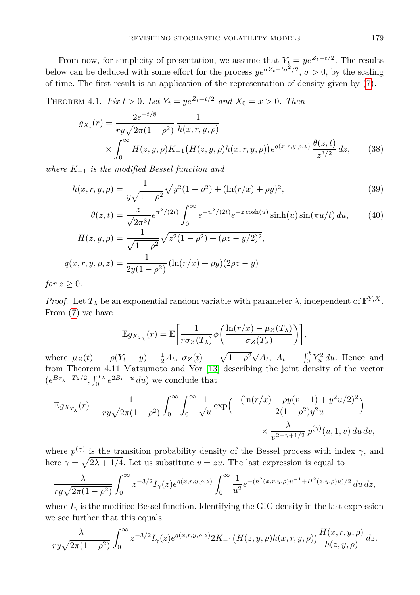From now, for simplicity of presentation, we assume that  $Y_t = ye^{Z_t - t/2}$ . The results below can be deduced with some effort for the process  $ye^{\sigma Z_t - t\sigma^2/2}$ ,  $\sigma > 0$ , by the scaling of time. The first result is an application of the representation of density given by [\(7\)](#page-2-3).

<span id="page-10-1"></span>THEOREM 4.1. *Fix*  $t > 0$ . Let  $Y_t = ye^{Z_t - t/2}$  and  $X_0 = x > 0$ . Then

<span id="page-10-0"></span>
$$
g_{X_t}(r) = \frac{2e^{-t/8}}{ry\sqrt{2\pi(1-\rho^2)}} \frac{1}{h(x,r,y,\rho)}
$$
  
 
$$
\times \int_0^\infty H(z,y,\rho)K_{-1}(H(z,y,\rho)h(x,r,y,\rho))e^{q(x,r,y,\rho,z)}\frac{\theta(z,t)}{z^{3/2}}dz,
$$
 (38)

*where K*<sup>−</sup><sup>1</sup> *is the modified Bessel function and*

$$
h(x, r, y, \rho) = \frac{1}{y\sqrt{1 - \rho^2}} \sqrt{y^2 (1 - \rho^2) + (\ln(r/x) + \rho y)^2},
$$
\n(39)

$$
\theta(z,t) = \frac{z}{\sqrt{2\pi^3 t}} e^{\pi^2/(2t)} \int_0^\infty e^{-u^2/(2t)} e^{-z \cosh(u)} \sinh(u) \sin(\pi u/t) du,
$$
\n
$$
H(z,y,\rho) = \frac{1}{\sqrt{1-\rho^2}} \sqrt{z^2 (1-\rho^2) + (\rho z - y/2)^2},
$$
\n
$$
q(x,r,y,\rho,z) = \frac{1}{2y(1-\rho^2)} (\ln(r/x) + \rho y)(2\rho z - y)
$$
\n(10.12)

*for*  $z \geq 0$ *.* 

*Proof.* Let  $T_{\lambda}$  be an exponential random variable with parameter  $\lambda$ , independent of  $\mathbb{F}^{Y,X}$ . From [\(7\)](#page-2-3) we have

<span id="page-10-3"></span><span id="page-10-2"></span>
$$
\mathbb{E}g_{X_{T_{\lambda}}}(r) = \mathbb{E}\bigg[\frac{1}{r\sigma_Z(T_{\lambda})}\phi\bigg(\frac{\ln(r/x) - \mu_Z(T_{\lambda})}{\sigma_Z(T_{\lambda})}\bigg)\bigg],
$$

where  $\mu_Z(t) = \rho(Y_t - y) - \frac{1}{2}A_t$ ,  $\sigma_Z(t) = \sqrt{1 - \rho^2}\sqrt{A_t}$ ,  $A_t = \int_0^t Y_u^2 du$ . Hence and from Theorem 4.11 Matsumoto and Yor [\[13\]](#page-16-10) describing the joint density of the vector  $(e^{B_T} \lambda^{-T_\lambda/2}, \int_0^{T_\lambda} e^{2B_u - u} du)$  we conclude that

$$
\mathbb{E}g_{X_{T_{\lambda}}}(r) = \frac{1}{ry\sqrt{2\pi(1-\rho^2)}} \int_0^{\infty} \int_0^{\infty} \frac{1}{\sqrt{u}} \exp\left(-\frac{(\ln(r/x) - \rho y(v-1) + y^2 u/2)^2}{2(1-\rho^2)y^2 u}\right) \times \frac{\lambda}{v^{2+\gamma+1/2}} p^{(\gamma)}(u, 1, v) du dv,
$$

where  $p^{(\gamma)}$  is the transition probability density of the Bessel process with index  $\gamma$ , and here  $\gamma = \sqrt{2\lambda + 1/4}$ . Let us substitute  $v = zu$ . The last expression is equal to

$$
\frac{\lambda}{ry\sqrt{2\pi(1-\rho^2)}}\int_0^\infty z^{-3/2}I_\gamma(z)e^{q(x,r,y,\rho,z)}\int_0^\infty \frac{1}{u^2}e^{-(h^2(x,r,y,\rho)u^{-1}+H^2(z,y,\rho)u)/2}\,du\,dz,
$$

where  $I_{\gamma}$  is the modified Bessel function. Identifying the GIG density in the last expression we see further that this equals

$$
\frac{\lambda}{ry\sqrt{2\pi(1-\rho^2)}}\int_0^\infty z^{-3/2}I_\gamma(z)e^{q(x,r,y,\rho,z)}2K_{-1}\big(H(z,y,\rho)h(x,r,y,\rho)\big)\frac{H(x,r,y,\rho)}{h(z,y,\rho)}\,dz.
$$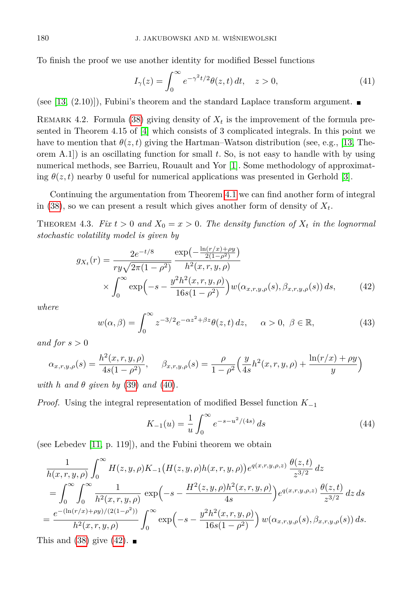To finish the proof we use another identity for modified Bessel functions

<span id="page-11-3"></span>
$$
I_{\gamma}(z) = \int_0^{\infty} e^{-\gamma^2 t/2} \theta(z, t) dt, \quad z > 0,
$$
\n(41)

(see [\[13,](#page-16-10) (2.10)]), Fubini's theorem and the standard Laplace transform argument.  $\blacksquare$ 

<span id="page-11-2"></span>REMARK 4.2. Formula [\(38\)](#page-10-0) giving density of  $X_t$  is the improvement of the formula presented in Theorem 4.15 of [\[4\]](#page-15-1) which consists of 3 complicated integrals. In this point we have to mention that  $\theta(z, t)$  giving the Hartman–Watson distribution (see, e.g., [\[13,](#page-16-10) Theorem A.1]) is an oscillating function for small *t*. So, is not easy to handle with by using numerical methods, see Barrieu, Rouault and Yor [\[1\]](#page-15-2). Some methodology of approximating  $\theta(z,t)$  nearby 0 useful for numerical applications was presented in Gerhold [\[3\]](#page-15-3).

Continuing the argumentation from Theorem [4.1](#page-10-1) we can find another form of integral in [\(38\)](#page-10-0), so we can present a result which gives another form of density of  $X_t$ .

THEOREM 4.3. *Fix*  $t > 0$  *and*  $X_0 = x > 0$ . The density function of  $X_t$  in the lognormal *stochastic volatility model is given by*

$$
g_{X_t}(r) = \frac{2e^{-t/8}}{ry\sqrt{2\pi(1-\rho^2)}} \frac{\exp\left(-\frac{\ln(r/x) + \rho y}{2(1-\rho^2)}\right)}{h^2(x,r,y,\rho)}
$$

$$
\times \int_0^\infty \exp\left(-s - \frac{y^2h^2(x,r,y,\rho)}{16s(1-\rho^2)}\right) w(\alpha_{x,r,y,\rho}(s), \beta_{x,r,y,\rho}(s)) ds, \tag{42}
$$

*where*

$$
w(\alpha, \beta) = \int_0^\infty z^{-3/2} e^{-\alpha z^2 + \beta z} \theta(z, t) dz, \quad \alpha > 0, \ \beta \in \mathbb{R}, \tag{43}
$$

*and for*  $s > 0$ 

$$
\alpha_{x,r,y,\rho}(s) = \frac{h^2(x,r,y,\rho)}{4s(1-\rho^2)}, \quad \beta_{x,r,y,\rho}(s) = \frac{\rho}{1-\rho^2} \left(\frac{y}{4s}h^2(x,r,y,\rho) + \frac{\ln(r/x) + \rho y}{y}\right)
$$

*with h* and  $\theta$  *given by* [\(39\)](#page-10-2) *and* [\(40\)](#page-10-3)*.* 

*Proof.* Using the integral representation of modified Bessel function *K*<sup>−</sup><sup>1</sup>

<span id="page-11-1"></span><span id="page-11-0"></span>
$$
K_{-1}(u) = \frac{1}{u} \int_0^\infty e^{-s - u^2/(4s)} ds \tag{44}
$$

(see Lebedev [\[11,](#page-16-11) p. 119]), and the Fubini theorem we obtain

$$
\frac{1}{h(x,r,y,\rho)} \int_0^\infty H(z,y,\rho) K_{-1} (H(z,y,\rho)h(x,r,y,\rho)) e^{q(x,r,y,\rho,z)} \frac{\theta(z,t)}{z^{3/2}} dz \n= \int_0^\infty \int_0^\infty \frac{1}{h^2(x,r,y,\rho)} \exp\left(-s - \frac{H^2(z,y,\rho)h^2(x,r,y,\rho)}{4s}\right) e^{q(x,r,y,\rho,z)} \frac{\theta(z,t)}{z^{3/2}} dz ds \n= \frac{e^{-(\ln(r/x) + \rho y)/(2(1-\rho^2))}}{h^2(x,r,y,\rho)} \int_0^\infty \exp\left(-s - \frac{y^2 h^2(x,r,y,\rho)}{16s(1-\rho^2)}\right) w(\alpha_{x,r,y,\rho}(s), \beta_{x,r,y,\rho}(s)) ds.
$$

This and  $(38)$  give  $(42)$ .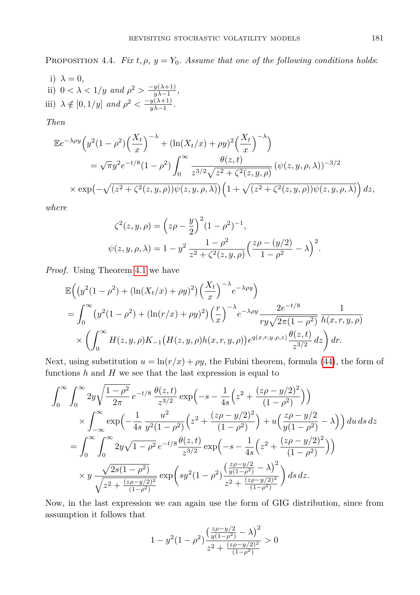PROPOSITION 4.4. *Fix*  $t, \rho, y = Y_0$ . Assume that one of the following conditions holds:

i)  $\lambda = 0$ , ii)  $0 < \lambda < 1/y$  and  $\rho^2 > \frac{-y(\lambda+1)}{y(\lambda-1)}$  $\frac{y(\lambda+1)}{y\lambda-1},$ iii)  $\lambda \notin [0, 1/y]$  *and*  $\rho^2 < \frac{-y(\lambda+1)}{y(\lambda-1)}$  $\frac{y(\lambda+1)}{y\lambda-1}$ .

*Then*

$$
\mathbb{E}e^{-\lambda\rho y}\left(y^2(1-\rho^2)\left(\frac{X_t}{x}\right)^{-\lambda} + (\ln(X_t/x) + \rho y)^2\left(\frac{X_t}{x}\right)^{-\lambda}\right)
$$
  

$$
= \sqrt{\pi}y^2e^{-t/8}(1-\rho^2)\int_0^\infty \frac{\theta(z,t)}{z^{3/2}\sqrt{z^2+\zeta^2(z,y,\rho)}}\left(\psi(z,y,\rho,\lambda)\right)^{-3/2}
$$
  

$$
\times \exp\left(-\sqrt{(z^2+\zeta^2(z,y,\rho))\psi(z,y,\rho,\lambda)}\right)\left(1+\sqrt{(z^2+\zeta^2(z,y,\rho))\psi(z,y,\rho,\lambda)}\right)dz,
$$

*where*

$$
\zeta^{2}(z, y, \rho) = (z\rho - \frac{y}{2})^{2} (1 - \rho^{2})^{-1},
$$
  

$$
\psi(z, y, \rho, \lambda) = 1 - y^{2} \frac{1 - \rho^{2}}{z^{2} + \zeta^{2}(z, y, \rho)} \left(\frac{z\rho - (y/2)}{1 - \rho^{2}} - \lambda\right)^{2}.
$$

*Proof.* Using Theorem [4.1](#page-10-1) we have

$$
\mathbb{E}\Big(\big(y^{2}(1-\rho^{2}) + (\ln(X_{t}/x) + \rho y)^{2}\big)\Big(\frac{X_{t}}{x}\Big)^{-\lambda}e^{-\lambda\rho y}\Big)
$$
\n
$$
= \int_{0}^{\infty} \big(y^{2}(1-\rho^{2}) + (\ln(r/x) + \rho y)^{2}\big)\Big(\frac{r}{x}\Big)^{-\lambda}e^{-\lambda\rho y}\frac{2e^{-t/8}}{r y\sqrt{2\pi(1-\rho^{2})}}\frac{1}{h(x,r,y,\rho)}
$$
\n
$$
\times \left(\int_{0}^{\infty} H(z,y,\rho)K_{-1}\big(H(z,y,\rho)h(x,r,y,\rho)\big)e^{q(x,r,y,\rho,z)}\frac{\theta(z,t)}{z^{3/2}}dz\right)dr.
$$

Next, using substitution  $u = \ln(r/x) + \rho y$ , the Fubini theorem, formula [\(44\)](#page-11-1), the form of functions  $h$  and  $H$  we see that the last expression is equal to

$$
\int_0^\infty \int_0^\infty 2y \sqrt{\frac{1-\rho^2}{2\pi}} e^{-t/8} \frac{\theta(z,t)}{z^{3/2}} \exp\left(-s - \frac{1}{4s} \left(z^2 + \frac{(z\rho - y/2)^2}{(1-\rho^2)}\right)\right)
$$
  

$$
\times \int_{-\infty}^\infty \exp\left(-\frac{1}{4s} \frac{u^2}{y^2(1-\rho^2)} \left(z^2 + \frac{(z\rho - y/2)^2}{(1-\rho^2)}\right) + u\left(\frac{z\rho - y/2}{y(1-\rho^2)} - \lambda\right)\right) du \, ds \, dz
$$
  

$$
= \int_0^\infty \int_0^\infty 2y \sqrt{1-\rho^2} e^{-t/8} \frac{\theta(z,t)}{z^{3/2}} \exp\left(-s - \frac{1}{4s} \left(z^2 + \frac{(z\rho - y/2)^2}{(1-\rho^2)}\right)\right)
$$
  

$$
\times y \frac{\sqrt{2s(1-\rho^2)}}{\sqrt{z^2 + \frac{(z\rho - y/2)^2}{(1-\rho^2)}}} \exp\left(sy^2(1-\rho^2) \frac{\left(\frac{z\rho - y/2}{y(1-\rho^2)} - \lambda\right)^2}{z^2 + \frac{(z\rho - y/2)^2}{(1-\rho^2)}}\right) ds \, dz.
$$

Now, in the last expression we can again use the form of GIG distribution, since from assumption it follows that

$$
1 - y^2 (1 - \rho^2) \frac{\left(\frac{z\rho - y/2}{y(1 - \rho^2)} - \lambda\right)^2}{z^2 + \frac{(z\rho - y/2)^2}{(1 - \rho^2)}} > 0
$$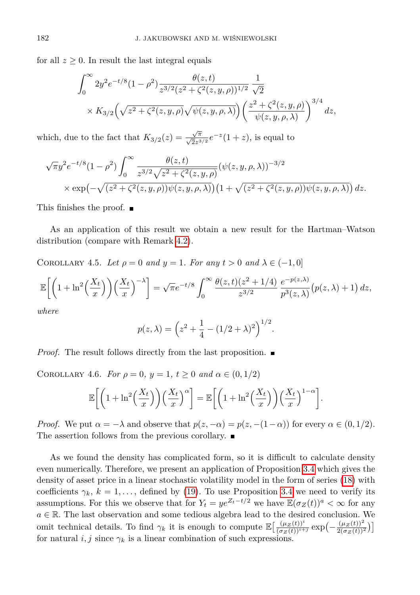for all  $z \geq 0$ . In result the last integral equals

$$
\int_0^\infty 2y^2 e^{-t/8} (1 - \rho^2) \frac{\theta(z, t)}{z^{3/2} (z^2 + \zeta^2(z, y, \rho))^{1/2}} \frac{1}{\sqrt{2}} \times K_{3/2} \left( \sqrt{z^2 + \zeta^2(z, y, \rho)} \sqrt{\psi(z, y, \rho, \lambda)} \right) \left( \frac{z^2 + \zeta^2(z, y, \rho)}{\psi(z, y, \rho, \lambda)} \right)^{3/4} dz,
$$

which, due to the fact that  $K_{3/2}(z) = \frac{\sqrt{\pi}}{\sqrt{2}z^{3/2}}e^{-z}(1+z)$ , is equal to

$$
\sqrt{\pi}y^2e^{-t/8}(1-\rho^2)\int_0^\infty \frac{\theta(z,t)}{z^{3/2}\sqrt{z^2+\zeta^2(z,y,\rho)}}(\psi(z,y,\rho,\lambda))^{-3/2}
$$
  
 
$$
\times \exp(-\sqrt{(z^2+\zeta^2(z,y,\rho))\psi(z,y,\rho,\lambda)})(1+\sqrt{(z^2+\zeta^2(z,y,\rho))\psi(z,y,\rho,\lambda)}) dz.
$$

This finishes the proof. ■

As an application of this result we obtain a new result for the Hartman–Watson distribution (compare with Remark [4.2\)](#page-11-2).

<span id="page-13-0"></span>COROLLARY 4.5. Let  $\rho = 0$  and  $y = 1$ . For any  $t > 0$  and  $\lambda \in (-1, 0]$ 

$$
\mathbb{E}\bigg[\bigg(1+\ln^2\bigg(\frac{X_t}{x}\bigg)\bigg)\bigg(\frac{X_t}{x}\bigg)^{-\lambda}\bigg] = \sqrt{\pi}e^{-t/8}\int_0^\infty \frac{\theta(z,t)(z^2+1/4)}{z^{3/2}}\frac{e^{-p(z,\lambda)}}{p^3(z,\lambda)}\big(p(z,\lambda)+1\big)\,dz,
$$

*where*

$$
p(z, \lambda) = \left(z^2 + \frac{1}{4} - (1/2 + \lambda)^2\right)^{1/2}.
$$

*Proof.* The result follows directly from the last proposition.

COROLLARY 4.6. *For*  $\rho = 0$ ,  $y = 1$ ,  $t \ge 0$  *and*  $\alpha \in (0, 1/2)$ 

$$
\mathbb{E}\bigg[\bigg(1+\ln^2\bigg(\frac{X_t}{x}\bigg)\bigg)\bigg(\frac{X_t}{x}\bigg)^{\alpha}\bigg] = \mathbb{E}\bigg[\bigg(1+\ln^2\bigg(\frac{X_t}{x}\bigg)\bigg)\bigg(\frac{X_t}{x}\bigg)^{1-\alpha}\bigg].
$$

*Proof.* We put  $\alpha = -\lambda$  and observe that  $p(z, -\alpha) = p(z, -(1-\alpha))$  for every  $\alpha \in (0, 1/2)$ . The assertion follows from the previous corollary.  $\blacksquare$ 

<span id="page-13-1"></span>As we found the density has complicated form, so it is difficult to calculate density even numerically. Therefore, we present an application of Proposition [3.4](#page-4-5) which gives the density of asset price in a linear stochastic volatility model in the form of series [\(18\)](#page-5-2) with coefficients  $\gamma_k$ ,  $k = 1, \ldots$ , defined by [\(19\)](#page-5-3). To use Proposition [3.4](#page-4-5) we need to verify its assumptions. For this we observe that for  $Y_t = ye^{Z_t-t/2}$  we have  $\mathbb{E}(\sigma_Z(t))^a < \infty$  for any  $a \in \mathbb{R}$ . The last observation and some tedious algebra lead to the desired conclusion. We omit technical details. To find  $\gamma_k$  it is enough to compute  $\mathbb{E}\left[\frac{(\mu_Z(t))^i}{(\sigma_Z(t))^{i+j}} \exp\left(-\frac{(\mu_Z(t))^2}{2(\sigma_Z(t))^i}\right)\right]$  $\frac{(\mu_Z(t))^2}{2(\sigma_Z(t))^2}\Big)\Big]$ for natural *i, j* since  $\gamma_k$  is a linear combination of such expressions.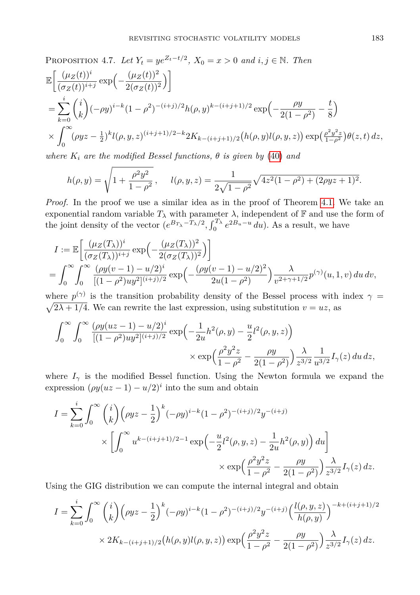PROPOSITION 4.7. *Let*  $Y_t = ye^{Z_t - t/2}$ ,  $X_0 = x > 0$  *and*  $i, j \in \mathbb{N}$ . *Then* 

$$
\mathbb{E}\left[\frac{(\mu_Z(t))^i}{(\sigma_Z(t))^{i+j}}\exp\left(-\frac{(\mu_Z(t))^2}{2(\sigma_Z(t))^2}\right)\right]
$$
\n
$$
=\sum_{k=0}^i \binom{i}{k}(-\rho y)^{i-k}(1-\rho^2)^{-(i+j)/2}h(\rho, y)^{k-(i+j+1)/2}\exp\left(-\frac{\rho y}{2(1-\rho^2)}-\frac{t}{8}\right)
$$
\n
$$
\times \int_0^\infty (\rho yz - \frac{1}{2})^k l(\rho, y, z)^{(i+j+1)/2-k} 2K_{k-(i+j+1)/2}\left(h(\rho, y)l(\rho, y, z)\right) \exp\left(\frac{\rho^2 y^2 z}{1-\rho^2}\right)\theta(z, t) dz,
$$

*where*  $K_i$  *are the modified Bessel functions,*  $\theta$  *is given by* [\(40\)](#page-10-3) *and* 

$$
h(\rho, y) = \sqrt{1 + \frac{\rho^2 y^2}{1 - \rho^2}}, \quad l(\rho, y, z) = \frac{1}{2\sqrt{1 - \rho^2}} \sqrt{4z^2(1 - \rho^2) + (2\rho y z + 1)^2}.
$$

*Proof.* In the proof we use a similar idea as in the proof of Theorem [4.1.](#page-10-1) We take an exponential random variable  $T_{\lambda}$  with parameter  $\lambda$ , independent of  $\mathbb F$  and use the form of the joint density of the vector  $(e^{B_{T_{\lambda}}-T_{\lambda}/2}, \int_0^{T_{\lambda}} e^{2B_u-u} du)$ . As a result, we have

$$
I := \mathbb{E}\left[\frac{(\mu_Z(T_\lambda))^i}{(\sigma_Z(T_\lambda))^{i+j}} \exp\left(-\frac{(\mu_Z(T_\lambda))^2}{2(\sigma_Z(T_\lambda))^2}\right)\right]
$$
  
= 
$$
\int_0^\infty \int_0^\infty \frac{(\rho y(v-1) - u/2)^i}{[(1-\rho^2)uy^2]^{(i+j)/2}} \exp\left(-\frac{(\rho y(v-1) - u/2)^2}{2u(1-\rho^2)}\right) \frac{\lambda}{v^{2+\gamma+1/2}} p^{(\gamma)}(u, 1, v) du dv,
$$

where  $p^{(\gamma)}$  is the transition probability density of the Bessel process with index  $\gamma$  $\sqrt{2\lambda + 1/4}$ . We can rewrite the last expression, using substitution  $v = uz$ , as

$$
\begin{split} \int_0^\infty \int_0^\infty \frac{(\rho y (uz-1)-u/2)^i}{[(1-\rho^2)uy^2]^{(i+j)/2}} \exp\left(-\frac{1}{2u}h^2(\rho,y)-\frac{u}{2}l^2(\rho,y,z)\right) \\ \times \exp\left(\frac{\rho^2 y^2 z}{1-\rho^2}-\frac{\rho y}{2(1-\rho^2)}\right) \frac{\lambda}{z^{3/2}} \frac{1}{u^{3/2}} I_\gamma(z) \, du \, dz, \end{split}
$$

where  $I_{\gamma}$  is the modified Bessel function. Using the Newton formula we expand the expression  $(\rho y (uz - 1) - u/2)^i$  into the sum and obtain

$$
I = \sum_{k=0}^{i} \int_{0}^{\infty} {i \choose k} \left( \rho y z - \frac{1}{2} \right)^k (-\rho y)^{i-k} (1 - \rho^2)^{-(i+j)/2} y^{-(i+j)} \times \left[ \int_{0}^{\infty} u^{k - (i+j+1)/2 - 1} \exp\left( -\frac{u}{2} l^2(\rho, y, z) - \frac{1}{2u} h^2(\rho, y) \right) du \right] \times \exp\left( \frac{\rho^2 y^2 z}{1 - \rho^2} - \frac{\rho y}{2(1 - \rho^2)} \right) \frac{\lambda}{z^{3/2}} I_{\gamma}(z) dz.
$$

Using the GIG distribution we can compute the internal integral and obtain

$$
I = \sum_{k=0}^{i} \int_{0}^{\infty} {i \choose k} (\rho y z - \frac{1}{2})^{k} (-\rho y)^{i-k} (1 - \rho^{2})^{-(i+j)/2} y^{-(i+j)} \left( \frac{l(\rho, y, z)}{h(\rho, y)} \right)^{-k + (i+j+1)/2}
$$
  
 
$$
\times 2K_{k - (i+j+1)/2} (h(\rho, y) l(\rho, y, z)) \exp \left( \frac{\rho^{2} y^{2} z}{1 - \rho^{2}} - \frac{\rho y}{2(1 - \rho^{2})} \right) \frac{\lambda}{z^{3/2}} I_{\gamma}(z) dz.
$$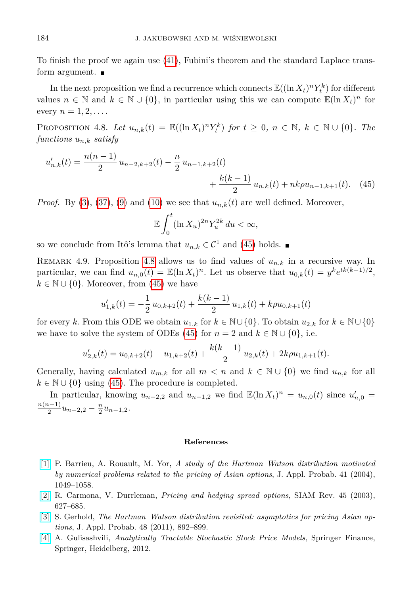To finish the proof we again use [\(41\)](#page-11-3), Fubini's theorem and the standard Laplace transform argument.  $\blacksquare$ 

In the next proposition we find a recurrence which connects  $\mathbb{E}((\ln X_t)^n Y_t^k)$  for different values  $n \in \mathbb{N}$  and  $k \in \mathbb{N} \cup \{0\}$ , in particular using this we can compute  $\mathbb{E}(\ln X_t)^n$  for every  $n = 1, 2, \ldots$ .

<span id="page-15-5"></span>PROPOSITION 4.8. *Let*  $u_{n,k}(t) = \mathbb{E}((\ln X_t)^n Y_t^k)$  for  $t \ge 0, n \in \mathbb{N}, k \in \mathbb{N} \cup \{0\}$ *. The functions un,k satisfy*

$$
u'_{n,k}(t) = \frac{n(n-1)}{2} u_{n-2,k+2}(t) - \frac{n}{2} u_{n-1,k+2}(t) + \frac{k(k-1)}{2} u_{n,k}(t) + nk\rho u_{n-1,k+1}(t). \tag{45}
$$

*Proof.* By [\(3\)](#page-1-2), [\(37\)](#page-9-0), [\(9\)](#page-2-6) and [\(10\)](#page-2-7) we see that  $u_{n,k}(t)$  are well defined. Moreover,

<span id="page-15-4"></span>
$$
\mathbb{E}\int_0^t (\ln X_u)^{2n} Y_u^{2k} du < \infty,
$$

so we conclude from Itô's lemma that  $u_{n,k} \in C^1$  and [\(45\)](#page-15-4) holds.

REMARK 4.9. Proposition [4.8](#page-15-5) allows us to find values of  $u_{n,k}$  in a recursive way. In particular, we can find  $u_{n,0}(t) = \mathbb{E}(\ln X_t)^n$ . Let us observe that  $u_{0,k}(t) = y^k e^{tk(k-1)/2}$ ,  $k \in \mathbb{N} \cup \{0\}$ . Moreover, from [\(45\)](#page-15-4) we have

$$
u'_{1,k}(t) = -\frac{1}{2}u_{0,k+2}(t) + \frac{k(k-1)}{2}u_{1,k}(t) + k\rho u_{0,k+1}(t)
$$

for every *k*. From this ODE we obtain  $u_{1,k}$  for  $k \in \mathbb{N} \cup \{0\}$ . To obtain  $u_{2,k}$  for  $k \in \mathbb{N} \cup \{0\}$ we have to solve the system of ODEs [\(45\)](#page-15-4) for  $n = 2$  and  $k \in \mathbb{N} \cup \{0\}$ , i.e.

$$
u'_{2,k}(t) = u_{0,k+2}(t) - u_{1,k+2}(t) + \frac{k(k-1)}{2}u_{2,k}(t) + 2k\rho u_{1,k+1}(t).
$$

Generally, having calculated  $u_{m,k}$  for all  $m < n$  and  $k \in \mathbb{N} \cup \{0\}$  we find  $u_{n,k}$  for all  $k \in \mathbb{N} \cup \{0\}$  using [\(45\)](#page-15-4). The procedure is completed.

In particular, knowing  $u_{n-2,2}$  and  $u_{n-1,2}$  we find  $\mathbb{E}(\ln X_t)^n = u_{n,0}(t)$  since  $u'_{n,0}$ *n*(*n*−1)  $\frac{n-1}{2}u_{n-2,2} - \frac{n}{2}u_{n-1,2}.$ 

## **References**

- <span id="page-15-2"></span>[\[1\]](http://dx.doi.org/10.1017/S0021900200020817) P. Barrieu, A. Rouault, M. Yor, *A study of the Hartman–Watson distribution motivated by numerical problems related to the pricing of Asian options*, J. Appl. Probab. 41 (2004), 1049–1058.
- <span id="page-15-0"></span>[\[2\]](http://dx.doi.org/10.1137/S0036144503424798) R. Carmona, V. Durrleman, *Pricing and hedging spread options*, SIAM Rev. 45 (2003), 627–685.
- <span id="page-15-3"></span>[\[3\]](http://dx.doi.org/10.1239/jap/1316796924) S. Gerhold, *The Hartman–Watson distribution revisited: asymptotics for pricing Asian options*, J. Appl. Probab. 48 (2011), 892–899.
- <span id="page-15-1"></span>[\[4\]](http://dx.doi.org/10.1007/978-3-642-31214-4) A. Gulisashvili, *Analytically Tractable Stochastic Stock Price Models*, Springer Finance, Springer, Heidelberg, 2012.